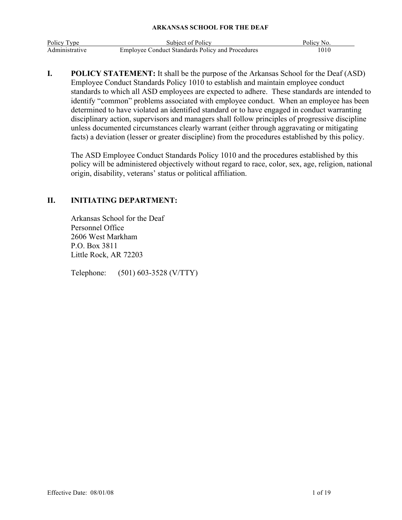| Policy Type    | Subject of Policy                                       | Policy No. |
|----------------|---------------------------------------------------------|------------|
| Administrative | <b>Employee Conduct Standards Policy and Procedures</b> | 1010       |

**I. POLICY STATEMENT:** It shall be the purpose of the Arkansas School for the Deaf (ASD) Employee Conduct Standards Policy 1010 to establish and maintain employee conduct standards to which all ASD employees are expected to adhere. These standards are intended to identify "common" problems associated with employee conduct. When an employee has been determined to have violated an identified standard or to have engaged in conduct warranting disciplinary action, supervisors and managers shall follow principles of progressive discipline unless documented circumstances clearly warrant (either through aggravating or mitigating facts) a deviation (lesser or greater discipline) from the procedures established by this policy.

The ASD Employee Conduct Standards Policy 1010 and the procedures established by this policy will be administered objectively without regard to race, color, sex, age, religion, national origin, disability, veterans' status or political affiliation.

# **II. INITIATING DEPARTMENT:**

Arkansas School for the Deaf Personnel Office 2606 West Markham P.O. Box 3811 Little Rock, AR 72203

Telephone: (501) 603-3528 (V/TTY)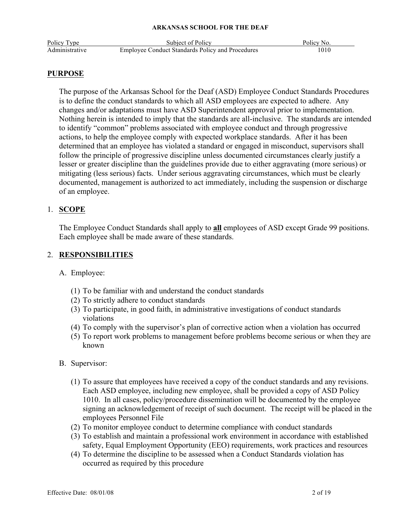| Policy Type    | Subject of Policy                                       | Policy No. |
|----------------|---------------------------------------------------------|------------|
| Administrative | <b>Employee Conduct Standards Policy and Procedures</b> | 1010       |

#### **PURPOSE**

The purpose of the Arkansas School for the Deaf (ASD) Employee Conduct Standards Procedures is to define the conduct standards to which all ASD employees are expected to adhere. Any changes and/or adaptations must have ASD Superintendent approval prior to implementation. Nothing herein is intended to imply that the standards are all-inclusive. The standards are intended to identify "common" problems associated with employee conduct and through progressive actions, to help the employee comply with expected workplace standards. After it has been determined that an employee has violated a standard or engaged in misconduct, supervisors shall follow the principle of progressive discipline unless documented circumstances clearly justify a lesser or greater discipline than the guidelines provide due to either aggravating (more serious) or mitigating (less serious) facts. Under serious aggravating circumstances, which must be clearly documented, management is authorized to act immediately, including the suspension or discharge of an employee.

### 1. **SCOPE**

The Employee Conduct Standards shall apply to **all** employees of ASD except Grade 99 positions. Each employee shall be made aware of these standards.

## 2. **RESPONSIBILITIES**

A. Employee:

- (1) To be familiar with and understand the conduct standards
- (2) To strictly adhere to conduct standards
- (3) To participate, in good faith, in administrative investigations of conduct standards violations
- (4) To comply with the supervisor's plan of corrective action when a violation has occurred
- (5) To report work problems to management before problems become serious or when they are known
- B. Supervisor:
	- (1) To assure that employees have received a copy of the conduct standards and any revisions. Each ASD employee, including new employee, shall be provided a copy of ASD Policy 1010. In all cases, policy/procedure dissemination will be documented by the employee signing an acknowledgement of receipt of such document. The receipt will be placed in the employees Personnel File
	- (2) To monitor employee conduct to determine compliance with conduct standards
	- (3) To establish and maintain a professional work environment in accordance with established safety, Equal Employment Opportunity (EEO) requirements, work practices and resources
	- (4) To determine the discipline to be assessed when a Conduct Standards violation has occurred as required by this procedure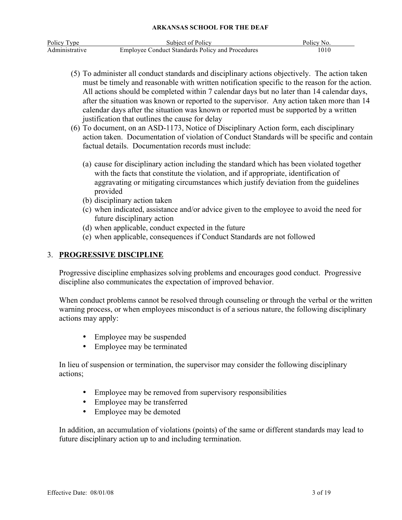| Policy Type    | Subject of Policy                                       | Policy No. |
|----------------|---------------------------------------------------------|------------|
| Administrative | <b>Employee Conduct Standards Policy and Procedures</b> | 1010       |

- (5) To administer all conduct standards and disciplinary actions objectively. The action taken must be timely and reasonable with written notification specific to the reason for the action. All actions should be completed within 7 calendar days but no later than 14 calendar days, after the situation was known or reported to the supervisor. Any action taken more than 14 calendar days after the situation was known or reported must be supported by a written justification that outlines the cause for delay
- (6) To document, on an ASD-1173, Notice of Disciplinary Action form, each disciplinary action taken. Documentation of violation of Conduct Standards will be specific and contain factual details. Documentation records must include:
	- (a) cause for disciplinary action including the standard which has been violated together with the facts that constitute the violation, and if appropriate, identification of aggravating or mitigating circumstances which justify deviation from the guidelines provided
	- (b) disciplinary action taken
	- (c) when indicated, assistance and/or advice given to the employee to avoid the need for future disciplinary action
	- (d) when applicable, conduct expected in the future
	- (e) when applicable, consequences if Conduct Standards are not followed

# 3. **PROGRESSIVE DISCIPLINE**

Progressive discipline emphasizes solving problems and encourages good conduct. Progressive discipline also communicates the expectation of improved behavior.

When conduct problems cannot be resolved through counseling or through the verbal or the written warning process, or when employees misconduct is of a serious nature, the following disciplinary actions may apply:

- Employee may be suspended
- Employee may be terminated

In lieu of suspension or termination, the supervisor may consider the following disciplinary actions;

- Employee may be removed from supervisory responsibilities
- Employee may be transferred
- Employee may be demoted

In addition, an accumulation of violations (points) of the same or different standards may lead to future disciplinary action up to and including termination.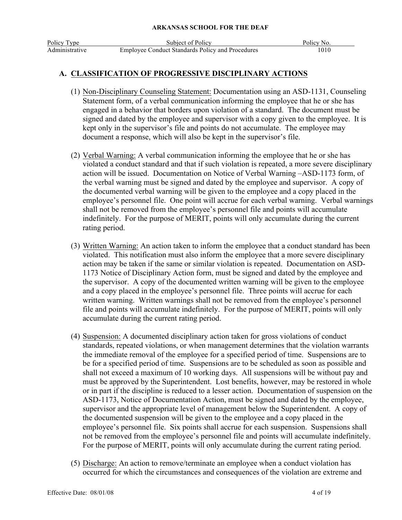# **A. CLASSIFICATION OF PROGRESSIVE DISCIPLINARY ACTIONS**

- (1) Non-Disciplinary Counseling Statement: Documentation using an ASD-1131, Counseling Statement form, of a verbal communication informing the employee that he or she has engaged in a behavior that borders upon violation of a standard. The document must be signed and dated by the employee and supervisor with a copy given to the employee. It is kept only in the supervisor's file and points do not accumulate. The employee may document a response, which will also be kept in the supervisor's file.
- (2) Verbal Warning: A verbal communication informing the employee that he or she has violated a conduct standard and that if such violation is repeated, a more severe disciplinary action will be issued. Documentation on Notice of Verbal Warning –ASD-1173 form, of the verbal warning must be signed and dated by the employee and supervisor. A copy of the documented verbal warning will be given to the employee and a copy placed in the employee's personnel file. One point will accrue for each verbal warning. Verbal warnings shall not be removed from the employee's personnel file and points will accumulate indefinitely. For the purpose of MERIT, points will only accumulate during the current rating period.
- (3) Written Warning: An action taken to inform the employee that a conduct standard has been violated. This notification must also inform the employee that a more severe disciplinary action may be taken if the same or similar violation is repeated. Documentation on ASD-1173 Notice of Disciplinary Action form, must be signed and dated by the employee and the supervisor. A copy of the documented written warning will be given to the employee and a copy placed in the employee's personnel file. Three points will accrue for each written warning. Written warnings shall not be removed from the employee's personnel file and points will accumulate indefinitely. For the purpose of MERIT, points will only accumulate during the current rating period.
- (4) Suspension: A documented disciplinary action taken for gross violations of conduct standards, repeated violations, or when management determines that the violation warrants the immediate removal of the employee for a specified period of time. Suspensions are to be for a specified period of time. Suspensions are to be scheduled as soon as possible and shall not exceed a maximum of 10 working days. All suspensions will be without pay and must be approved by the Superintendent. Lost benefits, however, may be restored in whole or in part if the discipline is reduced to a lesser action. Documentation of suspension on the ASD-1173, Notice of Documentation Action, must be signed and dated by the employee, supervisor and the appropriate level of management below the Superintendent. A copy of the documented suspension will be given to the employee and a copy placed in the employee's personnel file. Six points shall accrue for each suspension. Suspensions shall not be removed from the employee's personnel file and points will accumulate indefinitely. For the purpose of MERIT, points will only accumulate during the current rating period.
- (5) Discharge: An action to remove/terminate an employee when a conduct violation has occurred for which the circumstances and consequences of the violation are extreme and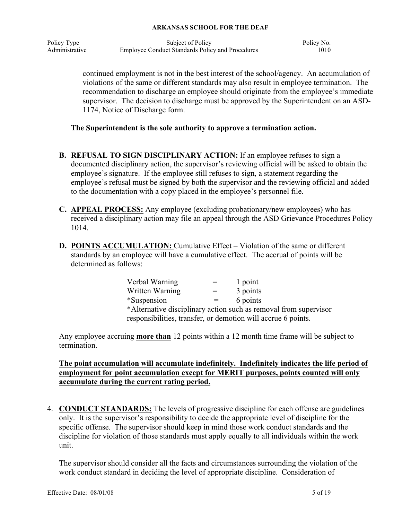| Policy Type    | Subject of Policy                                       | Policy No. |
|----------------|---------------------------------------------------------|------------|
| Administrative | <b>Employee Conduct Standards Policy and Procedures</b> | 1010       |

continued employment is not in the best interest of the school/agency. An accumulation of violations of the same or different standards may also result in employee termination. The recommendation to discharge an employee should originate from the employee's immediate supervisor. The decision to discharge must be approved by the Superintendent on an ASD-1174, Notice of Discharge form.

# **The Superintendent is the sole authority to approve a termination action.**

- **B. REFUSAL TO SIGN DISCIPLINARY ACTION:** If an employee refuses to sign a documented disciplinary action, the supervisor's reviewing official will be asked to obtain the employee's signature. If the employee still refuses to sign, a statement regarding the employee's refusal must be signed by both the supervisor and the reviewing official and added to the documentation with a copy placed in the employee's personnel file.
- **C. APPEAL PROCESS:** Any employee (excluding probationary/new employees) who has received a disciplinary action may file an appeal through the ASD Grievance Procedures Policy 1014.
- **D. POINTS ACCUMULATION:** Cumulative Effect Violation of the same or different standards by an employee will have a cumulative effect. The accrual of points will be determined as follows:

| Verbal Warning                                                   |     | 1 point  |  |  |
|------------------------------------------------------------------|-----|----------|--|--|
| Written Warning                                                  | $=$ | 3 points |  |  |
| *Suspension                                                      |     | 6 points |  |  |
| *Alternative disciplinary action such as removal from supervisor |     |          |  |  |
| responsibilities, transfer, or demotion will accrue 6 points.    |     |          |  |  |

Any employee accruing **more than** 12 points within a 12 month time frame will be subject to termination.

**The point accumulation will accumulate indefinitely. Indefinitely indicates the life period of employment for point accumulation except for MERIT purposes, points counted will only accumulate during the current rating period.**

4. **CONDUCT STANDARDS:** The levels of progressive discipline for each offense are guidelines only. It is the supervisor's responsibility to decide the appropriate level of discipline for the specific offense. The supervisor should keep in mind those work conduct standards and the discipline for violation of those standards must apply equally to all individuals within the work unit.

The supervisor should consider all the facts and circumstances surrounding the violation of the work conduct standard in deciding the level of appropriate discipline. Consideration of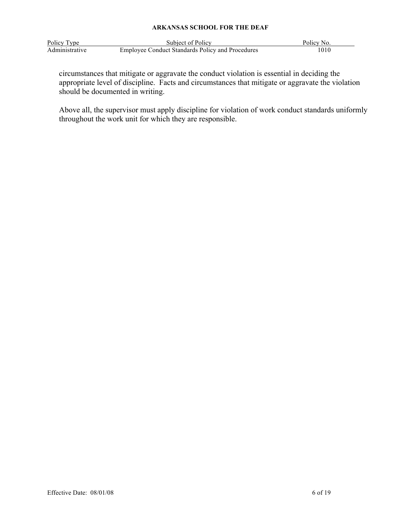| Policy Type    | Subject of Policy                                       | Policy No. |
|----------------|---------------------------------------------------------|------------|
| Administrative | <b>Employee Conduct Standards Policy and Procedures</b> | 1010       |

circumstances that mitigate or aggravate the conduct violation is essential in deciding the appropriate level of discipline. Facts and circumstances that mitigate or aggravate the violation should be documented in writing.

Above all, the supervisor must apply discipline for violation of work conduct standards uniformly throughout the work unit for which they are responsible.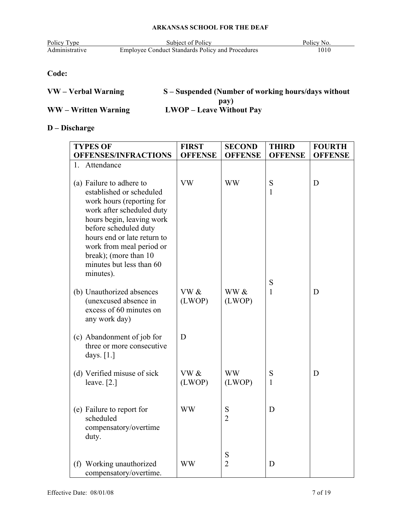| Policy Type    | Subject of Policy                                       | Policy No. |
|----------------|---------------------------------------------------------|------------|
| Administrative | <b>Employee Conduct Standards Policy and Procedures</b> | 1010       |

# **Code:**

| VW – Verbal Warning  | S – Suspended (Number of working hours/days without |
|----------------------|-----------------------------------------------------|
|                      | pay)                                                |
| WW – Written Warning | <b>LWOP</b> – Leave Without Pay                     |

# **D – Discharge**

| <b>TYPES OF</b>                                      | <b>FIRST</b>   | <b>SECOND</b>       | <b>THIRD</b>      | <b>FOURTH</b>  |
|------------------------------------------------------|----------------|---------------------|-------------------|----------------|
| <b>OFFENSES/INFRACTIONS</b>                          | <b>OFFENSE</b> | <b>OFFENSE</b>      | <b>OFFENSE</b>    | <b>OFFENSE</b> |
| 1. Attendance                                        |                |                     |                   |                |
|                                                      |                |                     |                   |                |
| (a) Failure to adhere to                             | <b>VW</b>      | <b>WW</b>           | S                 | D              |
| established or scheduled                             |                |                     | 1                 |                |
| work hours (reporting for                            |                |                     |                   |                |
| work after scheduled duty                            |                |                     |                   |                |
| hours begin, leaving work                            |                |                     |                   |                |
| before scheduled duty<br>hours end or late return to |                |                     |                   |                |
| work from meal period or                             |                |                     |                   |                |
| break); (more than 10                                |                |                     |                   |                |
| minutes but less than 60                             |                |                     |                   |                |
| minutes).                                            |                |                     |                   |                |
|                                                      |                |                     | S                 |                |
| (b) Unauthorized absences                            | VW &           | WW &                | $\mathbf{1}$      | D              |
| (unexcused absence in<br>excess of 60 minutes on     | (LWOP)         | (LWOP)              |                   |                |
| any work day)                                        |                |                     |                   |                |
|                                                      |                |                     |                   |                |
| (c) Abandonment of job for                           | D              |                     |                   |                |
| three or more consecutive                            |                |                     |                   |                |
| days. $[1.]$                                         |                |                     |                   |                |
|                                                      |                |                     |                   |                |
| (d) Verified misuse of sick<br>leave. $[2.]$         | VW &<br>(LWOP) | <b>WW</b><br>(LWOP) | S<br>$\mathbf{1}$ | D              |
|                                                      |                |                     |                   |                |
|                                                      |                |                     |                   |                |
| (e) Failure to report for                            | <b>WW</b>      | S                   | D                 |                |
| scheduled                                            |                | $\overline{2}$      |                   |                |
| compensatory/overtime                                |                |                     |                   |                |
| duty.                                                |                |                     |                   |                |
|                                                      |                | S                   |                   |                |
| (f) Working unauthorized                             | <b>WW</b>      | $\overline{2}$      | D                 |                |
| compensatory/overtime.                               |                |                     |                   |                |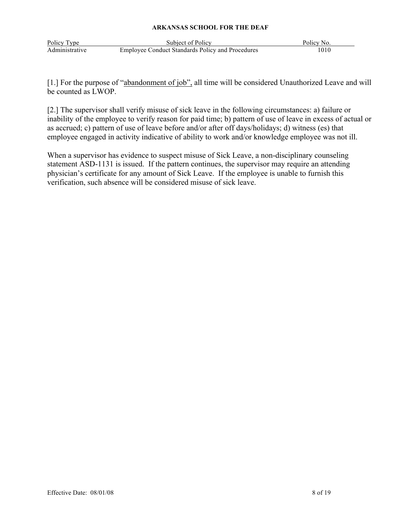| Policy Type    | Subject of Policy                                       | Policy No. |
|----------------|---------------------------------------------------------|------------|
| Administrative | <b>Employee Conduct Standards Policy and Procedures</b> | 1010       |

[1.] For the purpose of "abandonment of job", all time will be considered Unauthorized Leave and will be counted as LWOP.

[2.] The supervisor shall verify misuse of sick leave in the following circumstances: a) failure or inability of the employee to verify reason for paid time; b) pattern of use of leave in excess of actual or as accrued; c) pattern of use of leave before and/or after off days/holidays; d) witness (es) that employee engaged in activity indicative of ability to work and/or knowledge employee was not ill.

When a supervisor has evidence to suspect misuse of Sick Leave, a non-disciplinary counseling statement ASD-1131 is issued. If the pattern continues, the supervisor may require an attending physician's certificate for any amount of Sick Leave. If the employee is unable to furnish this verification, such absence will be considered misuse of sick leave.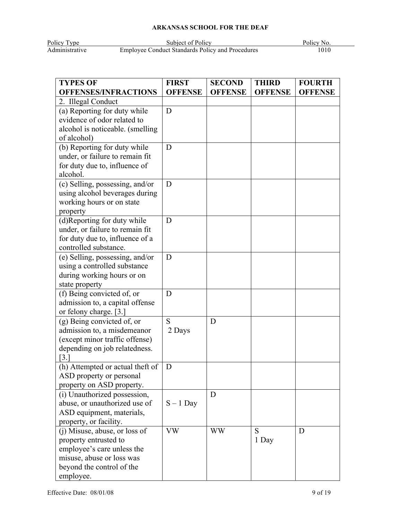Policy Type Subject of Policy Policy Policy Policy Policy Policy Policy Policy Policy Policy Policy Policy Policy Policy Policy Policy Policy Policy Policy Policy Policy Policy Policy Policy Policy Policy Policy Policy Pol Administrative Employee Conduct Standards Policy and Procedures 1010

| <b>TYPES OF</b>                              | <b>FIRST</b>   | <b>SECOND</b>  | <b>THIRD</b>   | <b>FOURTH</b>  |
|----------------------------------------------|----------------|----------------|----------------|----------------|
| <b>OFFENSES/INFRACTIONS</b>                  | <b>OFFENSE</b> | <b>OFFENSE</b> | <b>OFFENSE</b> | <b>OFFENSE</b> |
| 2. Illegal Conduct                           |                |                |                |                |
| (a) Reporting for duty while                 | D              |                |                |                |
| evidence of odor related to                  |                |                |                |                |
| alcohol is noticeable. (smelling             |                |                |                |                |
| of alcohol)                                  |                |                |                |                |
| (b) Reporting for duty while                 | D              |                |                |                |
| under, or failure to remain fit              |                |                |                |                |
| for duty due to, influence of                |                |                |                |                |
| alcohol.                                     |                |                |                |                |
| (c) Selling, possessing, and/or              | D              |                |                |                |
| using alcohol beverages during               |                |                |                |                |
| working hours or on state                    |                |                |                |                |
| property                                     |                |                |                |                |
| (d)Reporting for duty while                  | D              |                |                |                |
| under, or failure to remain fit              |                |                |                |                |
| for duty due to, influence of a              |                |                |                |                |
| controlled substance.                        |                |                |                |                |
| (e) Selling, possessing, and/or              | D              |                |                |                |
| using a controlled substance                 |                |                |                |                |
| during working hours or on<br>state property |                |                |                |                |
| (f) Being convicted of, or                   | D              |                |                |                |
| admission to, a capital offense              |                |                |                |                |
| or felony charge. [3.]                       |                |                |                |                |
| (g) Being convicted of, or                   | S              | D              |                |                |
| admission to, a misdemeanor                  | 2 Days         |                |                |                |
| (except minor traffic offense)               |                |                |                |                |
| depending on job relatedness.                |                |                |                |                |
| $\lceil 3 \rceil$                            |                |                |                |                |
| (h) Attempted or actual theft of             | D              |                |                |                |
| ASD property or personal                     |                |                |                |                |
| property on ASD property.                    |                |                |                |                |
| (i) Unauthorized possession,                 |                | D              |                |                |
| abuse, or unauthorized use of                | $S - 1$ Day    |                |                |                |
| ASD equipment, materials,                    |                |                |                |                |
| property, or facility.                       |                |                |                |                |
| (j) Misuse, abuse, or loss of                | <b>VW</b>      | WW             | S              | D              |
| property entrusted to                        |                |                | 1 Day          |                |
| employee's care unless the                   |                |                |                |                |
| misuse, abuse or loss was                    |                |                |                |                |
| beyond the control of the                    |                |                |                |                |
| employee.                                    |                |                |                |                |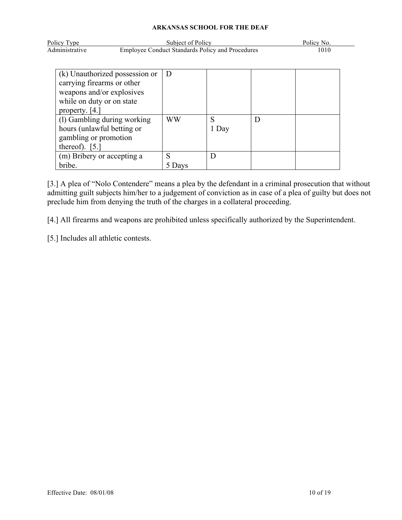| Policy Type    | Subject of Policy                                       | Policy No. |
|----------------|---------------------------------------------------------|------------|
| Administrative | <b>Employee Conduct Standards Policy and Procedures</b> | 1010       |

| (k) Unauthorized possession or | D         |       |  |
|--------------------------------|-----------|-------|--|
| carrying firearms or other     |           |       |  |
| weapons and/or explosives      |           |       |  |
| while on duty or on state      |           |       |  |
| property. $[4.]$               |           |       |  |
| (1) Gambling during working    | <b>WW</b> | S     |  |
| hours (unlawful betting or     |           | 1 Day |  |
| gambling or promotion          |           |       |  |
| thereof). $[5.]$               |           |       |  |
| (m) Bribery or accepting a     | S         |       |  |
| bribe.                         | Davs      |       |  |

[3.] A plea of "Nolo Contendere" means a plea by the defendant in a criminal prosecution that without admitting guilt subjects him/her to a judgement of conviction as in case of a plea of guilty but does not preclude him from denying the truth of the charges in a collateral proceeding.

[4.] All firearms and weapons are prohibited unless specifically authorized by the Superintendent.

[5.] Includes all athletic contests.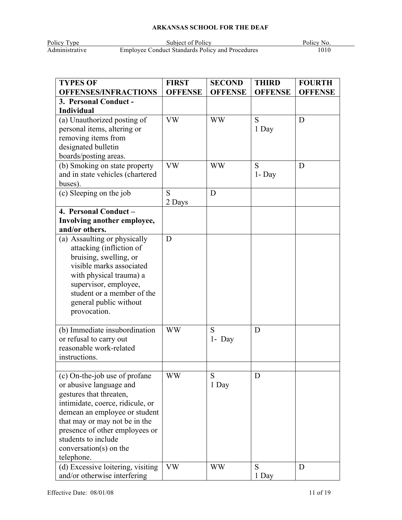Policy Type Subject of Policy Policy Policy Policy Policy Policy Policy Policy Policy Policy Policy Policy Policy Policy Policy Policy Policy Policy Policy Policy Policy Policy Policy Policy Policy Policy Policy Policy Pol Administrative Employee Conduct Standards Policy and Procedures 1010

| <b>TYPES OF</b>                                    | <b>FIRST</b>   | <b>SECOND</b>  | <b>THIRD</b>   | <b>FOURTH</b>  |
|----------------------------------------------------|----------------|----------------|----------------|----------------|
| <b>OFFENSES/INFRACTIONS</b>                        | <b>OFFENSE</b> | <b>OFFENSE</b> | <b>OFFENSE</b> | <b>OFFENSE</b> |
| 3. Personal Conduct -                              |                |                |                |                |
| Individual                                         |                |                |                |                |
| (a) Unauthorized posting of                        | <b>VW</b>      | <b>WW</b>      | S              | D              |
| personal items, altering or                        |                |                | 1 Day          |                |
| removing items from                                |                |                |                |                |
| designated bulletin                                |                |                |                |                |
| boards/posting areas.                              |                |                |                |                |
| (b) Smoking on state property                      | <b>VW</b>      | <b>WW</b>      | S              | D              |
| and in state vehicles (chartered                   |                |                | 1- Day         |                |
| buses).                                            |                |                |                |                |
| (c) Sleeping on the job                            | S              | D              |                |                |
|                                                    | 2 Days         |                |                |                |
| 4. Personal Conduct -                              |                |                |                |                |
| Involving another employee,                        |                |                |                |                |
| and/or others.                                     |                |                |                |                |
| (a) Assaulting or physically                       | D              |                |                |                |
| attacking (infliction of                           |                |                |                |                |
| bruising, swelling, or                             |                |                |                |                |
| visible marks associated                           |                |                |                |                |
| with physical trauma) a                            |                |                |                |                |
| supervisor, employee,                              |                |                |                |                |
| student or a member of the                         |                |                |                |                |
| general public without                             |                |                |                |                |
| provocation.                                       |                |                |                |                |
|                                                    |                |                |                |                |
| (b) Immediate insubordination                      | <b>WW</b>      | S              | D              |                |
| or refusal to carry out<br>reasonable work-related |                | $1 - Day$      |                |                |
|                                                    |                |                |                |                |
| instructions.                                      |                |                |                |                |
|                                                    | <b>WW</b>      | S              | D              |                |
| (c) On-the-job use of profane                      |                | 1 Day          |                |                |
| or abusive language and<br>gestures that threaten, |                |                |                |                |
| intimidate, coerce, ridicule, or                   |                |                |                |                |
| demean an employee or student                      |                |                |                |                |
| that may or may not be in the                      |                |                |                |                |
| presence of other employees or                     |                |                |                |                |
| students to include                                |                |                |                |                |
| $conversion(s)$ on the                             |                |                |                |                |
| telephone.                                         |                |                |                |                |
| (d) Excessive loitering, visiting                  | <b>VW</b>      | <b>WW</b>      | S              | D              |
| and/or otherwise interfering                       |                |                | 1 Day          |                |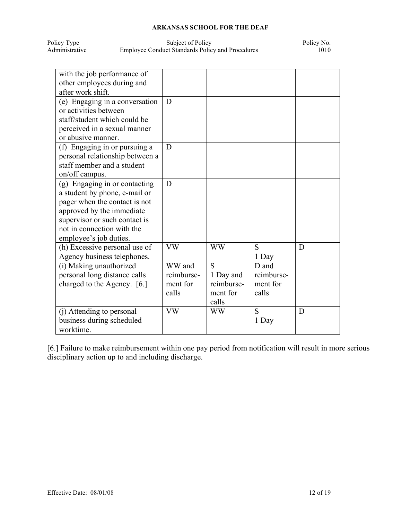| Policy Type    | Subject of Policy                                       | Policy No. |
|----------------|---------------------------------------------------------|------------|
| Administrative | <b>Employee Conduct Standards Policy and Procedures</b> | 1010       |

| with the job performance of     |            |            |            |   |
|---------------------------------|------------|------------|------------|---|
| other employees during and      |            |            |            |   |
| after work shift.               |            |            |            |   |
| (e) Engaging in a conversation  | D          |            |            |   |
| or activities between           |            |            |            |   |
| staff/student which could be    |            |            |            |   |
| perceived in a sexual manner    |            |            |            |   |
| or abusive manner.              |            |            |            |   |
| (f) Engaging in or pursuing a   | D          |            |            |   |
| personal relationship between a |            |            |            |   |
| staff member and a student      |            |            |            |   |
| on/off campus.                  |            |            |            |   |
| (g) Engaging in or contacting   | D          |            |            |   |
| a student by phone, e-mail or   |            |            |            |   |
| pager when the contact is not   |            |            |            |   |
| approved by the immediate       |            |            |            |   |
| supervisor or such contact is   |            |            |            |   |
| not in connection with the      |            |            |            |   |
| employee's job duties.          |            |            |            |   |
| (h) Excessive personal use of   | <b>VW</b>  | <b>WW</b>  | S          | D |
| Agency business telephones.     |            |            | 1 Day      |   |
| (i) Making unauthorized         | WW and     | S          | D and      |   |
| personal long distance calls    | reimburse- | 1 Day and  | reimburse- |   |
| charged to the Agency. [6.]     | ment for   | reimburse- | ment for   |   |
|                                 | calls      | ment for   | calls      |   |
|                                 |            | calls      |            |   |
| (j) Attending to personal       | <b>VW</b>  | <b>WW</b>  | S          | D |
| business during scheduled       |            |            | 1 Day      |   |
| worktime.                       |            |            |            |   |

[6.] Failure to make reimbursement within one pay period from notification will result in more serious disciplinary action up to and including discharge.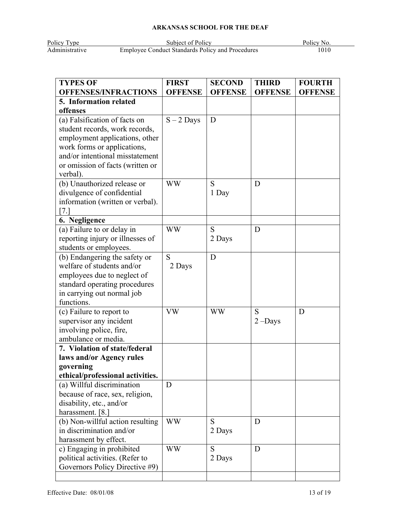Policy Type Subject of Policy Policy Policy Policy Policy Policy Policy Policy Policy Policy Policy Policy Policy Policy Policy Policy Policy Policy Policy Policy Policy Policy Policy Policy Policy Policy Policy Policy Pol Administrative Employee Conduct Standards Policy and Procedures 1010

| <b>TYPES OF</b>                                      | <b>FIRST</b>   | <b>SECOND</b>  | <b>THIRD</b>   | <b>FOURTH</b>  |
|------------------------------------------------------|----------------|----------------|----------------|----------------|
| <b>OFFENSES/INFRACTIONS</b>                          | <b>OFFENSE</b> | <b>OFFENSE</b> | <b>OFFENSE</b> | <b>OFFENSE</b> |
| 5. Information related                               |                |                |                |                |
| offenses                                             |                |                |                |                |
| (a) Falsification of facts on                        | $S - 2$ Days   | D              |                |                |
| student records, work records,                       |                |                |                |                |
| employment applications, other                       |                |                |                |                |
| work forms or applications,                          |                |                |                |                |
| and/or intentional misstatement                      |                |                |                |                |
| or omission of facts (written or                     |                |                |                |                |
| verbal).                                             |                |                |                |                |
| (b) Unauthorized release or                          | <b>WW</b>      | S              | D              |                |
| divulgence of confidential                           |                | 1 Day          |                |                |
| information (written or verbal).                     |                |                |                |                |
| 7.                                                   |                |                |                |                |
| 6. Negligence                                        |                |                |                |                |
| (a) Failure to or delay in                           | <b>WW</b>      | S              | D              |                |
| reporting injury or illnesses of                     |                | 2 Days         |                |                |
| students or employees.                               |                |                |                |                |
| (b) Endangering the safety or                        | S              | D              |                |                |
| welfare of students and/or                           | 2 Days         |                |                |                |
| employees due to neglect of                          |                |                |                |                |
| standard operating procedures                        |                |                |                |                |
| in carrying out normal job                           |                |                |                |                |
| functions.                                           |                |                |                |                |
| (c) Failure to report to                             | <b>VW</b>      | WW             | S              | D              |
| supervisor any incident                              |                |                | $2$ –Days      |                |
| involving police, fire,                              |                |                |                |                |
| ambulance or media.<br>7. Violation of state/federal |                |                |                |                |
| laws and/or Agency rules                             |                |                |                |                |
| governing                                            |                |                |                |                |
| ethical/professional activities.                     |                |                |                |                |
| (a) Willful discrimination                           | D              |                |                |                |
| because of race, sex, religion,                      |                |                |                |                |
| disability, etc., and/or                             |                |                |                |                |
| harassment. [8.]                                     |                |                |                |                |
| (b) Non-willful action resulting                     | <b>WW</b>      | S              | D              |                |
| in discrimination and/or                             |                | 2 Days         |                |                |
| harassment by effect.                                |                |                |                |                |
| c) Engaging in prohibited                            | <b>WW</b>      | S              | D              |                |
| political activities. (Refer to                      |                | 2 Days         |                |                |
| Governors Policy Directive #9)                       |                |                |                |                |
|                                                      |                |                |                |                |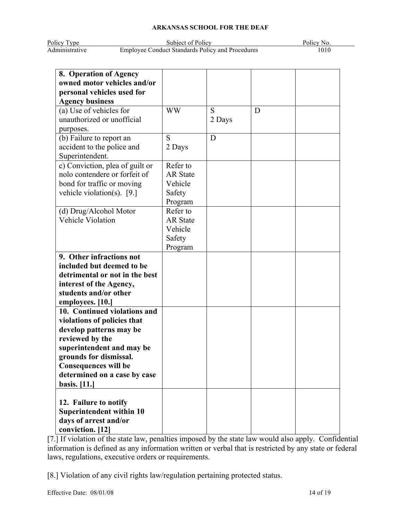| Policy Type    | Subject of Policy                                       | Policy No. |
|----------------|---------------------------------------------------------|------------|
| Administrative | <b>Employee Conduct Standards Policy and Procedures</b> | 1010       |

| 8. Operation of Agency<br>owned motor vehicles and/or |                 |        |   |  |
|-------------------------------------------------------|-----------------|--------|---|--|
| personal vehicles used for                            |                 |        |   |  |
| <b>Agency business</b>                                |                 |        |   |  |
| (a) Use of vehicles for                               | <b>WW</b>       | S      | D |  |
| unauthorized or unofficial                            |                 | 2 Days |   |  |
| purposes.                                             |                 |        |   |  |
| (b) Failure to report an                              | S               | D      |   |  |
| accident to the police and                            | 2 Days          |        |   |  |
| Superintendent.                                       |                 |        |   |  |
| c) Conviction, plea of guilt or                       | Refer to        |        |   |  |
| nolo contendere or forfeit of                         | <b>AR</b> State |        |   |  |
| bond for traffic or moving                            | Vehicle         |        |   |  |
| vehicle violation(s). $[9.]$                          | Safety          |        |   |  |
|                                                       | Program         |        |   |  |
| (d) Drug/Alcohol Motor                                | Refer to        |        |   |  |
| Vehicle Violation                                     | <b>AR State</b> |        |   |  |
|                                                       | Vehicle         |        |   |  |
|                                                       | Safety          |        |   |  |
|                                                       | Program         |        |   |  |
| 9. Other infractions not                              |                 |        |   |  |
| included but deemed to be                             |                 |        |   |  |
| detrimental or not in the best                        |                 |        |   |  |
| interest of the Agency,                               |                 |        |   |  |
| students and/or other                                 |                 |        |   |  |
| employees. [10.]                                      |                 |        |   |  |
| 10. Continued violations and                          |                 |        |   |  |
| violations of policies that                           |                 |        |   |  |
| develop patterns may be                               |                 |        |   |  |
| reviewed by the                                       |                 |        |   |  |
| superintendent and may be                             |                 |        |   |  |
| grounds for dismissal.                                |                 |        |   |  |
| <b>Consequences will be</b>                           |                 |        |   |  |
| determined on a case by case                          |                 |        |   |  |
| <b>basis.</b> [11.]                                   |                 |        |   |  |
|                                                       |                 |        |   |  |
| 12. Failure to notify                                 |                 |        |   |  |
| Superintendent within 10                              |                 |        |   |  |
| days of arrest and/or                                 |                 |        |   |  |
| conviction. [12]                                      |                 |        |   |  |

[7.] If violation of the state law, penalties imposed by the state law would also apply. Confidential information is defined as any information written or verbal that is restricted by any state or federal laws, regulations, executive orders or requirements.

[8.] Violation of any civil rights law/regulation pertaining protected status.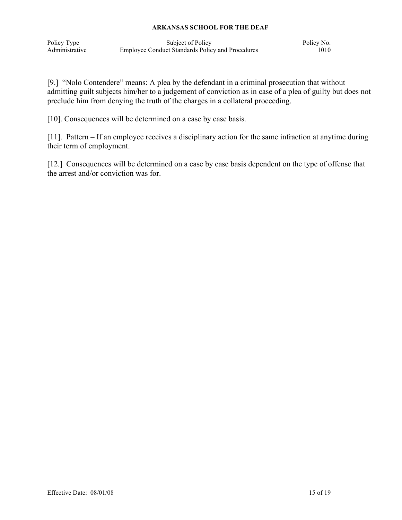| Policy Type    | Subject of Policy                                       | Policy No. |
|----------------|---------------------------------------------------------|------------|
| Administrative | <b>Employee Conduct Standards Policy and Procedures</b> | 1010       |

[9.] "Nolo Contendere" means: A plea by the defendant in a criminal prosecution that without admitting guilt subjects him/her to a judgement of conviction as in case of a plea of guilty but does not preclude him from denying the truth of the charges in a collateral proceeding.

[10]. Consequences will be determined on a case by case basis.

[11]. Pattern – If an employee receives a disciplinary action for the same infraction at anytime during their term of employment.

[12.] Consequences will be determined on a case by case basis dependent on the type of offense that the arrest and/or conviction was for.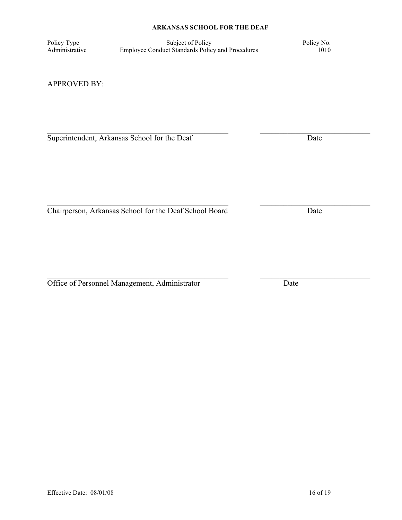$\mathcal{L}_\text{max}$  , and the contribution of the contribution of the contribution of the contribution of the contribution of the contribution of the contribution of the contribution of the contribution of the contribution of t

 $\mathcal{L}_\text{max}$  , and the contribution of the contribution of the contribution of the contribution of the contribution of the contribution of the contribution of the contribution of the contribution of the contribution of t

Policy Type Subject of Policy No.<br>Administrative Employee Conduct Standards Policy and Procedures 1010 Employee Conduct Standards Policy and Procedures

# APPROVED BY:

Superintendent, Arkansas School for the Deaf Date

Chairperson, Arkansas School for the Deaf School Board Date

Office of Personnel Management, Administrator Date

 $\mathcal{L}_\text{max}$  , and the contribution of the contribution of the contribution of the contribution of the contribution of the contribution of the contribution of the contribution of the contribution of the contribution of t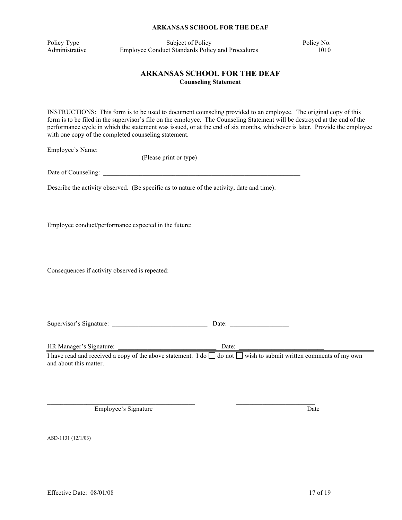Policy Type Subject of Policy Policy Policy No. Administrative Employee Conduct Standards Policy and Procedures 1010

#### **ARKANSAS SCHOOL FOR THE DEAF Counseling Statement**

INSTRUCTIONS: This form is to be used to document counseling provided to an employee. The original copy of this form is to be filed in the supervisor's file on the employee. The Counseling Statement will be destroyed at the end of the performance cycle in which the statement was issued, or at the end of six months, whichever is later. Provide the employee with one copy of the completed counseling statement.

Employee's Name:

(Please print or type)

Date of Counseling:

Describe the activity observed. (Be specific as to nature of the activity, date and time):

Employee conduct/performance expected in the future:

Consequences if activity observed is repeated:

Supervisor's Signature: <br>
Date:

HR Manager's Signature: \_\_\_\_\_\_\_\_\_\_\_\_\_\_\_\_\_\_\_\_\_\_\_\_\_\_\_\_\_\_ Date: \_\_\_\_\_\_\_\_\_\_\_\_\_\_\_\_\_\_\_\_\_\_\_\_\_\_

I have read and received a copy of the above statement. I do  $\Box$  do not  $\Box$  wish to submit written comments of my own and about this matter.

Employee's Signature Date

ASD-1131 (12/1/03)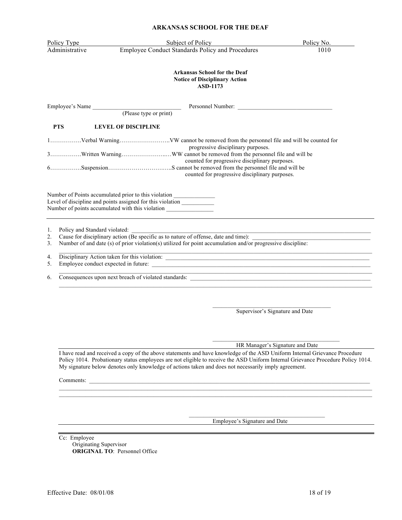|                | ARKANSAS SCHOOL FOR THE DEAF                                                                                                                                                                                   |            |
|----------------|----------------------------------------------------------------------------------------------------------------------------------------------------------------------------------------------------------------|------------|
| Policy Type    | Subject of Policy                                                                                                                                                                                              | Policy No. |
| Administrative | <b>Employee Conduct Standards Policy and Procedures</b>                                                                                                                                                        | 1010       |
|                | <b>Arkansas School for the Deaf</b><br><b>Notice of Disciplinary Action</b><br><b>ASD-1173</b>                                                                                                                 |            |
|                | Employee's Name (Please type or print)<br>Personnel Number:                                                                                                                                                    |            |
| <b>PTS</b>     | <b>LEVEL OF DISCIPLINE</b>                                                                                                                                                                                     |            |
|                | progressive disciplinary purposes.                                                                                                                                                                             |            |
|                | counted for progressive disciplinary purposes.<br>counted for progressive disciplinary purposes.                                                                                                               |            |
|                | Number of Points accumulated prior to this violation ___________________________<br>Level of discipline and points assigned for this violation ___________<br>Number of points accumulated with this violation |            |
| 1.             | Policy and Standard violated:<br>Cause for disciplinary action (Be specific as to nature of offense, date and time):                                                                                           |            |
| 2.<br>3.       | Number of and date (s) of prior violation(s) utilized for point accumulation and/or progressive discipline:                                                                                                    |            |
| 4.<br>5.       | <u> 1989 - Johann Stoff, deutscher Stoffen und der Stoffen und der Stoffen und der Stoffen und der Stoffen und der</u>                                                                                         |            |
| 6.             | Consequences upon next breach of violated standards:                                                                                                                                                           |            |

 $\mathcal{L}_\text{max}$ Supervisor's Signature and Date

 $\mathcal{L}_\text{max}$  , where  $\mathcal{L}_\text{max}$  and  $\mathcal{L}_\text{max}$  and  $\mathcal{L}_\text{max}$ HR Manager's Signature and Date

I have read and received a copy of the above statements and have knowledge of the ASD Uniform Internal Grievance Procedure Policy 1014. Probationary status employees are not eligible to receive the ASD Uniform Internal Grievance Procedure Policy 1014. My signature below denotes only knowledge of actions taken and does not necessarily imply agreement.

Comments:

Employee's Signature and Date

Cc: Employee Originating Supervisor **ORIGINAL TO**: Personnel Office